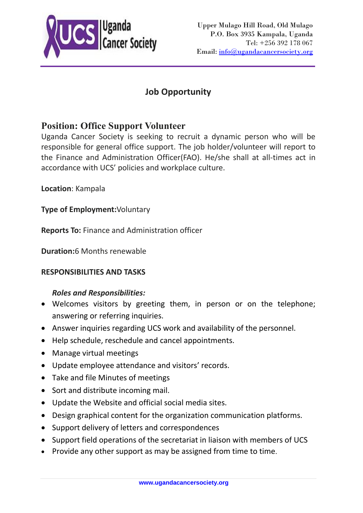

# **Job Opportunity**

## **Position: Office Support Volunteer**

Uganda Cancer Society is seeking to recruit a dynamic person who will be responsible for general office support. The job holder/volunteer will report to the Finance and Administration Officer(FAO). He/she shall at all-times act in accordance with UCS' policies and workplace culture.

**Location**: Kampala

**Type of Employment:**Voluntary

**Reports To:** Finance and Administration officer

**Duration:**6 Months renewable

## **RESPONSIBILITIES AND TASKS**

## *Roles and Responsibilities:*

- Welcomes visitors by greeting them, in person or on the telephone; answering or referring inquiries.
- Answer inquiries regarding UCS work and availability of the personnel.
- Help schedule, reschedule and cancel appointments.
- Manage virtual meetings
- Update employee attendance and visitors' records.
- Take and file Minutes of meetings
- Sort and distribute incoming mail.
- Update the Website and official social media sites.
- Design graphical content for the organization communication platforms.
- Support delivery of letters and correspondences
- Support field operations of the secretariat in liaison with members of UCS
- Provide any other support as may be assigned from time to time.